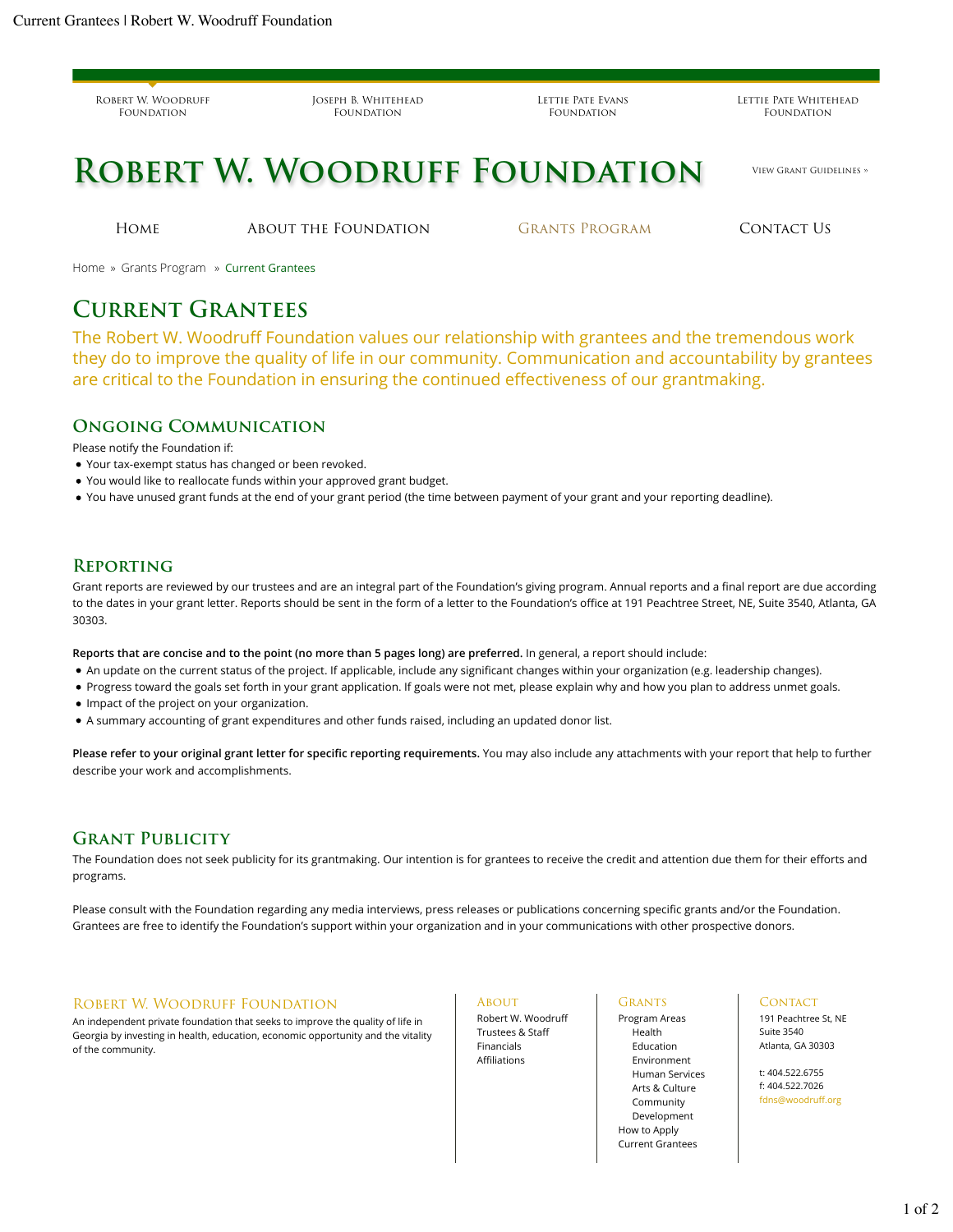Robert W. Woodruff FOUNDATION

Joseph B. Whitehead FOUNDATION

Lettie Pate Evans FOUNDATION

Lettie Pate Whitehead FOUNDATION

# **ROBERT W. WOODRUFF FOUNDATION** VIEW GRANT GUIDELINES »

Home About the Foundation Grants Program Contact Us

Home » Grants Program » Current Grantees

## **Current Grantees**

The Robert W. Woodruff Foundation values our relationship with grantees and the tremendous work they do to improve the quality of life in our community. Communication and accountability by grantees are critical to the Foundation in ensuring the continued effectiveness of our grantmaking.

#### **Ongoing Communication**

Please notify the Foundation if:

- Your tax-exempt status has changed or been revoked.
- You would like to reallocate funds within your approved grant budget.
- You have unused grant funds at the end of your grant period (the time between payment of your grant and your reporting deadline).

### **Reporting**

Grant reports are reviewed by our trustees and are an integral part of the Foundation's giving program. Annual reports and a final report are due according to the dates in your grant letter. Reports should be sent in the form of a letter to the Foundation's office at 191 Peachtree Street, NE, Suite 3540, Atlanta, GA 30303.

**Reports that are concise and to the point (no more than 5 pages long) are preferred.** In general, a report should include:

- An update on the current status of the project. If applicable, include any significant changes within your organization (e.g. leadership changes).
- Progress toward the goals set forth in your grant application. If goals were not met, please explain why and how you plan to address unmet goals.
- Impact of the project on your organization.
- A summary accounting of grant expenditures and other funds raised, including an updated donor list.

**Please refer to your original grant letter for specific reporting requirements.** You may also include any attachments with your report that help to further describe your work and accomplishments.

#### **Grant Publicity**

The Foundation does not seek publicity for its grantmaking. Our intention is for grantees to receive the credit and attention due them for their efforts and programs.

Please consult with the Foundation regarding any media interviews, press releases or publications concerning specific grants and/or the Foundation. Grantees are free to identify the Foundation's support within your organization and in your communications with other prospective donors.

#### Robert W. Woodruff Foundation

An independent private foundation that seeks to improve the quality of life in Georgia by investing in health, education, economic opportunity and the vitality of the community.

**ABOUT** 

Robert W. Woodruff Trustees & Staff Financials Affiliations

**GRANTS** Program Areas

Health Education Environment Human Services Arts & Culture Community Development How to Apply Current Grantees

CONTACT 191 Peachtree St, NE Suite 3540

Atlanta, GA 30303 t: 404.522.6755

f: 404.522.7026 fdns@woodruff.org